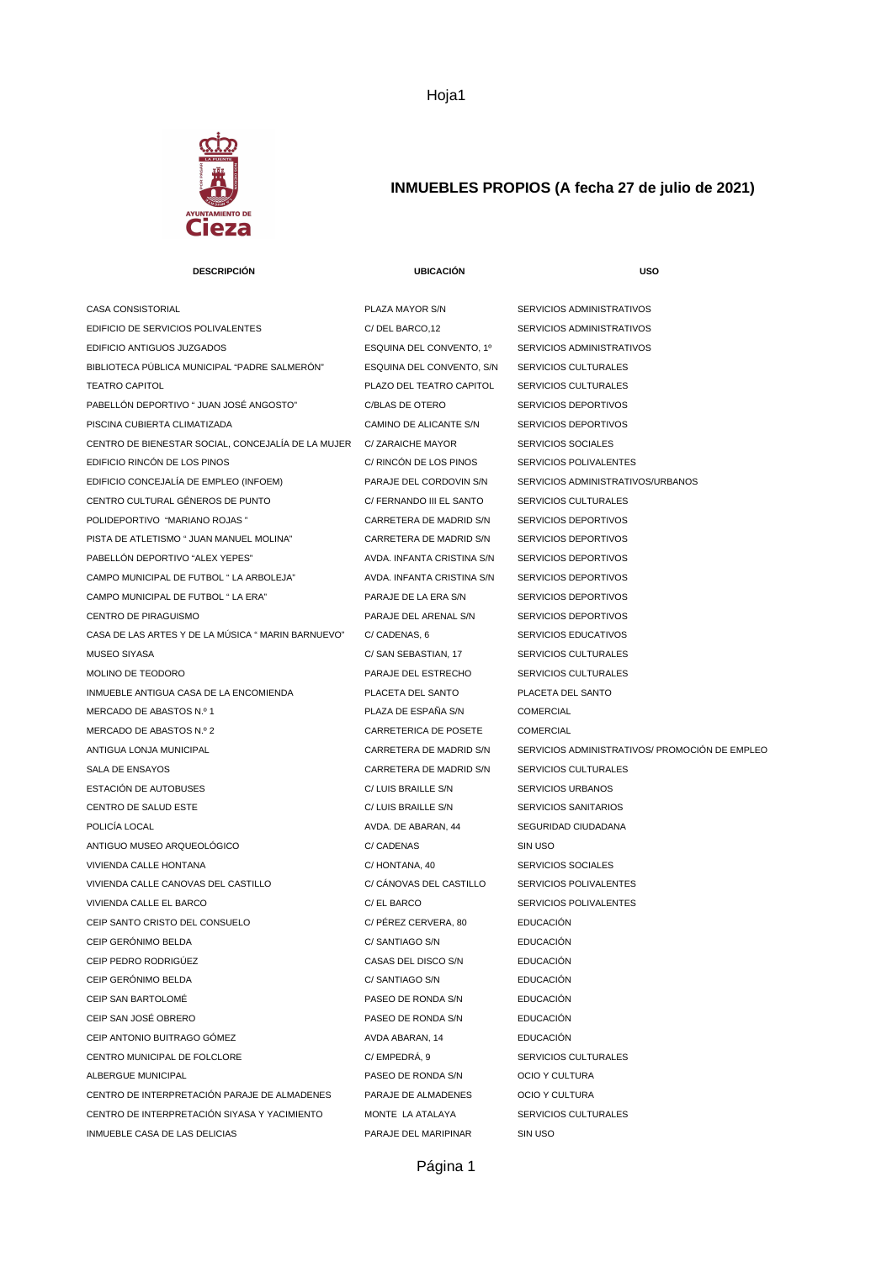

## **INMUEBLES PROPIOS (A fecha 27 de julio de 2021)**

| <b>DESCRIPCIÓN</b>                                 | <b>UBICACIÓN</b>           | <b>USO</b>                                     |
|----------------------------------------------------|----------------------------|------------------------------------------------|
| CASA CONSISTORIAL                                  | PLAZA MAYOR S/N            | SERVICIOS ADMINISTRATIVOS                      |
| EDIFICIO DE SERVICIOS POLIVALENTES                 | C/DEL BARCO,12             | SERVICIOS ADMINISTRATIVOS                      |
| EDIFICIO ANTIGUOS JUZGADOS                         | ESQUINA DEL CONVENTO, 1º   | SERVICIOS ADMINISTRATIVOS                      |
| BIBLIOTECA PÚBLICA MUNICIPAL "PADRE SALMERÓN"      | ESQUINA DEL CONVENTO, S/N  | SERVICIOS CULTURALES                           |
| <b>TEATRO CAPITOL</b>                              | PLAZO DEL TEATRO CAPITOL   | SERVICIOS CULTURALES                           |
| PABELLÓN DEPORTIVO " JUAN JOSÉ ANGOSTO"            | C/BLAS DE OTERO            | SERVICIOS DEPORTIVOS                           |
| PISCINA CUBIERTA CLIMATIZADA                       | CAMINO DE ALICANTE S/N     | <b>SERVICIOS DEPORTIVOS</b>                    |
| CENTRO DE BIENESTAR SOCIAL, CONCEJALÍA DE LA MUJER | C/ ZARAICHE MAYOR          | SERVICIOS SOCIALES                             |
| EDIFICIO RINCÓN DE LOS PINOS                       | C/ RINCON DE LOS PINOS     | SERVICIOS POLIVALENTES                         |
| EDIFICIO CONCEJALÍA DE EMPLEO (INFOEM)             | PARAJE DEL CORDOVIN S/N    | SERVICIOS ADMINISTRATIVOS/URBANOS              |
| CENTRO CULTURAL GÉNEROS DE PUNTO                   | C/ FERNANDO III EL SANTO   | SERVICIOS CULTURALES                           |
| POLIDEPORTIVO "MARIANO ROJAS"                      | CARRETERA DE MADRID S/N    | SERVICIOS DEPORTIVOS                           |
| PISTA DE ATLETISMO " JUAN MANUEL MOLINA"           | CARRETERA DE MADRID S/N    | SERVICIOS DEPORTIVOS                           |
| PABELLÓN DEPORTIVO "ALEX YEPES"                    | AVDA. INFANTA CRISTINA S/N | SERVICIOS DEPORTIVOS                           |
| CAMPO MUNICIPAL DE FUTBOL " LA ARBOLEJA"           | AVDA. INFANTA CRISTINA S/N | SERVICIOS DEPORTIVOS                           |
| CAMPO MUNICIPAL DE FUTBOL " LA ERA"                | PARAJE DE LA ERA S/N       | SERVICIOS DEPORTIVOS                           |
| CENTRO DE PIRAGUISMO                               | PARAJE DEL ARENAL S/N      | SERVICIOS DEPORTIVOS                           |
| CASA DE LAS ARTES Y DE LA MÚSICA " MARIN BARNUEVO" | C/ CADENAS, 6              | SERVICIOS EDUCATIVOS                           |
| MUSEO SIYASA                                       | C/ SAN SEBASTIAN, 17       | SERVICIOS CULTURALES                           |
| MOLINO DE TEODORO                                  | PARAJE DEL ESTRECHO        | SERVICIOS CULTURALES                           |
| INMUEBLE ANTIGUA CASA DE LA ENCOMIENDA             | PLACETA DEL SANTO          | PLACETA DEL SANTO                              |
| MERCADO DE ABASTOS N.º 1                           | PLAZA DE ESPAÑA S/N        | <b>COMERCIAL</b>                               |
| MERCADO DE ABASTOS N.º 2                           | CARRETERICA DE POSETE      | <b>COMERCIAL</b>                               |
| ANTIGUA LONJA MUNICIPAL                            | CARRETERA DE MADRID S/N    | SERVICIOS ADMINISTRATIVOS/ PROMOCIÓN DE EMPLEO |
| SALA DE ENSAYOS                                    | CARRETERA DE MADRID S/N    | SERVICIOS CULTURALES                           |
| ESTACIÓN DE AUTOBUSES                              | C/ LUIS BRAILLE S/N        | SERVICIOS URBANOS                              |
| CENTRO DE SALUD ESTE                               | C/ LUIS BRAILLE S/N        | <b>SERVICIOS SANITARIOS</b>                    |
| POLICÍA LOCAL                                      | AVDA. DE ABARAN, 44        | SEGURIDAD CIUDADANA                            |
| ANTIGUO MUSEO ARQUEOLÓGICO                         | C/ CADENAS                 | SIN USO                                        |
| VIVIENDA CALLE HONTANA                             | C/HONTANA, 40              | SERVICIOS SOCIALES                             |
| VIVIENDA CALLE CANOVAS DEL CASTILLO                | C/ CÁNOVAS DEL CASTILLO    | SERVICIOS POLIVALENTES                         |
| VIVIENDA CALLE EL BARCO                            | C/ EL BARCO                | <b>SERVICIOS POLIVALENTES</b>                  |
| CEIP SANTO CRISTO DEL CONSUELO                     | C/ PÉREZ CERVERA, 80       | <b>EDUCACIÓN</b>                               |
| CEIP GERÒNIMO BELDA                                | C/ SANTIAGO S/N            | <b>EDUCACIÓN</b>                               |
| CEIP PEDRO RODRIGÚEZ                               | CASAS DEL DISCO S/N        | <b>EDUCACIÓN</b>                               |
| CEIP GERÒNIMO BELDA                                | C/ SANTIAGO S/N            | <b>EDUCACIÓN</b>                               |
| CEIP SAN BARTOLOMÉ                                 | PASEO DE RONDA S/N         | <b>EDUCACIÓN</b>                               |
| CEIP SAN JOSÉ OBRERO                               | PASEO DE RONDA S/N         | <b>EDUCACIÓN</b>                               |
| CEIP ANTONIO BUITRAGO GÓMEZ                        | AVDA ABARAN, 14            | <b>EDUCACIÓN</b>                               |
| CENTRO MUNICIPAL DE FOLCLORE                       | C/EMPEDRA, 9               | SERVICIOS CULTURALES                           |
| ALBERGUE MUNICIPAL                                 | PASEO DE RONDA S/N         | OCIO Y CULTURA                                 |
| CENTRO DE INTERPRETACIÓN PARAJE DE ALMADENES       | PARAJE DE ALMADENES        | OCIO Y CULTURA                                 |
| CENTRO DE INTERPRETACIÓN SIYASA Y YACIMIENTO       | MONTE LA ATALAYA           | SERVICIOS CULTURALES                           |
| INMUEBLE CASA DE LAS DELICIAS                      | PARAJE DEL MARIPINAR       | SIN USO                                        |

Hoja1